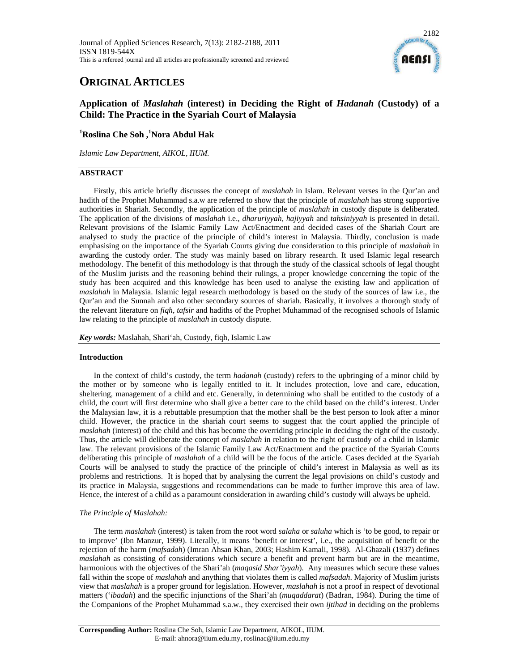

# **ORIGINAL ARTICLES**

# **Application of** *Maslahah* **(interest) in Deciding the Right of** *Hadanah* **(Custody) of a Child: The Practice in the Syariah Court of Malaysia**

**1 Roslina Che Soh ,<sup>1</sup> Nora Abdul Hak** 

*Islamic Law Department, AIKOL, IIUM.* 

# **ABSTRACT**

Firstly, this article briefly discusses the concept of *maslahah* in Islam. Relevant verses in the Qur'an and hadith of the Prophet Muhammad s.a.w are referred to show that the principle of *maslahah* has strong supportive authorities in Shariah. Secondly, the application of the principle of *maslahah* in custody dispute is deliberated. The application of the divisions of *maslahah* i.e., *dharuriyyah*, *hajiyyah* and *tahsiniyyah* is presented in detail. Relevant provisions of the Islamic Family Law Act/Enactment and decided cases of the Shariah Court are analysed to study the practice of the principle of child's interest in Malaysia. Thirdly, conclusion is made emphasising on the importance of the Syariah Courts giving due consideration to this principle of *maslahah* in awarding the custody order. The study was mainly based on library research. It used Islamic legal research methodology. The benefit of this methodology is that through the study of the classical schools of legal thought of the Muslim jurists and the reasoning behind their rulings, a proper knowledge concerning the topic of the study has been acquired and this knowledge has been used to analyse the existing law and application of *maslahah* in Malaysia. Islamic legal research methodology is based on the study of the sources of law i.e., the Qur'an and the Sunnah and also other secondary sources of shariah. Basically, it involves a thorough study of the relevant literature on *fiqh*, *tafsir* and hadiths of the Prophet Muhammad of the recognised schools of Islamic law relating to the principle of *maslahah* in custody dispute.

*Key words:* Maslahah, Shari'ah, Custody, fiqh, Islamic Law

## **Introduction**

In the context of child's custody, the term *hadanah* (custody) refers to the upbringing of a minor child by the mother or by someone who is legally entitled to it. It includes protection, love and care, education, sheltering, management of a child and etc. Generally, in determining who shall be entitled to the custody of a child, the court will first determine who shall give a better care to the child based on the child's interest. Under the Malaysian law, it is a rebuttable presumption that the mother shall be the best person to look after a minor child. However, the practice in the shariah court seems to suggest that the court applied the principle of *maslahah* (interest) of the child and this has become the overriding principle in deciding the right of the custody. Thus, the article will deliberate the concept of *maslahah* in relation to the right of custody of a child in Islamic law. The relevant provisions of the Islamic Family Law Act/Enactment and the practice of the Syariah Courts deliberating this principle of *maslahah* of a child will be the focus of the article. Cases decided at the Syariah Courts will be analysed to study the practice of the principle of child's interest in Malaysia as well as its problems and restrictions. It is hoped that by analysing the current the legal provisions on child's custody and its practice in Malaysia, suggestions and recommendations can be made to further improve this area of law. Hence, the interest of a child as a paramount consideration in awarding child's custody will always be upheld.

## *The Principle of Maslahah:*

The term *maslahah* (interest) is taken from the root word *salaha* or *saluha* which is 'to be good, to repair or to improve' (Ibn Manzur, 1999). Literally, it means 'benefit or interest', i.e., the acquisition of benefit or the rejection of the harm (*mafsadah*) (Imran Ahsan Khan, 2003; Hashim Kamali, 1998). Al-Ghazali (1937) defines *maslahah* as consisting of considerations which secure a benefit and prevent harm but are in the meantime, harmonious with the objectives of the Shari'ah (*maqasid Shar'iyyah*). Any measures which secure these values fall within the scope of *maslahah* and anything that violates them is called *mafsadah*. Majority of Muslim jurists view that *maslahah* is a proper ground for legislation. However, *maslahah* is not a proof in respect of devotional matters ('*ibadah*) and the specific injunctions of the Shari'ah (*muqaddarat*) (Badran, 1984). During the time of the Companions of the Prophet Muhammad s.a.w., they exercised their own *ijtihad* in deciding on the problems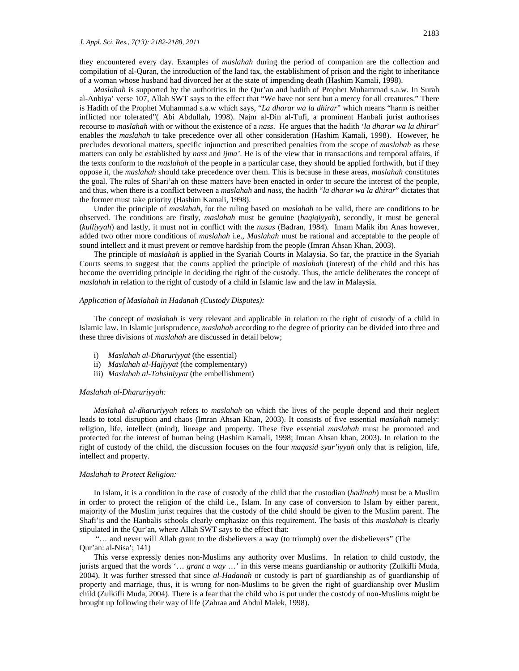they encountered every day. Examples of *maslahah* during the period of companion are the collection and compilation of al-Quran, the introduction of the land tax, the establishment of prison and the right to inheritance of a woman whose husband had divorced her at the state of impending death (Hashim Kamali, 1998).

*Maslahah* is supported by the authorities in the Qur'an and hadith of Prophet Muhammad s.a.w. In Surah al-Anbiya' verse 107, Allah SWT says to the effect that "We have not sent but a mercy for all creatures." There is Hadith of the Prophet Muhammad s.a.w which says, "*La dharar wa la dhirar*" which means "harm is neither inflicted nor tolerated"( Abi Abdullah, 1998). Najm al-Din al-Tufi, a prominent Hanbali jurist authorises recourse to *maslahah* with or without the existence of a *nass*. He argues that the hadith '*la dharar wa la dhirar*' enables the *maslahah* to take precedence over all other consideration (Hashim Kamali, 1998). However, he precludes devotional matters, specific injunction and prescribed penalties from the scope of *maslahah* as these matters can only be established by *nass* and *ijma'*. He is of the view that in transactions and temporal affairs, if the texts conform to the *maslahah* of the people in a particular case, they should be applied forthwith, but if they oppose it, the *maslahah* should take precedence over them. This is because in these areas, *maslahah* constitutes the goal. The rules of Shari'ah on these matters have been enacted in order to secure the interest of the people, and thus, when there is a conflict between a *maslahah* and *nass*, the hadith "*la dharar wa la dhirar*" dictates that the former must take priority (Hashim Kamali, 1998).

Under the principle of *maslahah*, for the ruling based on *maslahah* to be valid, there are conditions to be observed. The conditions are firstly, *maslahah* must be genuine (*haqiqiyyah*), secondly, it must be general (*kulliyyah*) and lastly, it must not in conflict with the *nusus* (Badran, 1984)*.* Imam Malik ibn Anas however, added two other more conditions of *maslahah* i.e., *Maslahah* must be rational and acceptable to the people of sound intellect and it must prevent or remove hardship from the people (Imran Ahsan Khan, 2003).

The principle of *maslahah* is applied in the Syariah Courts in Malaysia. So far, the practice in the Syariah Courts seems to suggest that the courts applied the principle of *maslahah* (interest) of the child and this has become the overriding principle in deciding the right of the custody. Thus, the article deliberates the concept of *maslahah* in relation to the right of custody of a child in Islamic law and the law in Malaysia.

#### *Application of Maslahah in Hadanah (Custody Disputes):*

The concept of *maslahah* is very relevant and applicable in relation to the right of custody of a child in Islamic law. In Islamic jurisprudence, *maslahah* according to the degree of priority can be divided into three and these three divisions of *maslahah* are discussed in detail below;

- i) *Maslahah al-Dharuriyyat* (the essential)
- ii) *Maslahah al-Hajiyyat* (the complementary)
- iii) *Maslahah al-Tahsiniyyat* (the embellishment)

#### *Maslahah al-Dharuriyyah:*

*Maslahah al-dharuriyyah* refers to *maslahah* on which the lives of the people depend and their neglect leads to total disruption and chaos (Imran Ahsan Khan, 2003). It consists of five essential *maslahah* namely: religion, life, intellect (mind), lineage and property. These five essential *maslahah* must be promoted and protected for the interest of human being (Hashim Kamali, 1998; Imran Ahsan khan, 2003). In relation to the right of custody of the child, the discussion focuses on the four *maqasid syar'iyyah* only that is religion, life, intellect and property.

#### *Maslahah to Protect Religion:*

In Islam, it is a condition in the case of custody of the child that the custodian (*hadinah*) must be a Muslim in order to protect the religion of the child i.e., Islam. In any case of conversion to Islam by either parent, majority of the Muslim jurist requires that the custody of the child should be given to the Muslim parent. The Shafi'is and the Hanbalis schools clearly emphasize on this requirement. The basis of this *maslahah* is clearly stipulated in the Qur'an, where Allah SWT says to the effect that:

 "… and never will Allah grant to the disbelievers a way (to triumph) over the disbelievers" (The Qur'an: al-Nisa'; 141)

This verse expressly denies non-Muslims any authority over Muslims. In relation to child custody*,* the jurists argued that the words '… *grant a way* …' in this verse means guardianship or authority (Zulkifli Muda, 2004). It was further stressed that since *al-Hadanah* or custody is part of guardianship as of guardianship of property and marriage, thus, it is wrong for non-Muslims to be given the right of guardianship over Muslim child (Zulkifli Muda, 2004). There is a fear that the child who is put under the custody of non-Muslims might be brought up following their way of life (Zahraa and Abdul Malek, 1998).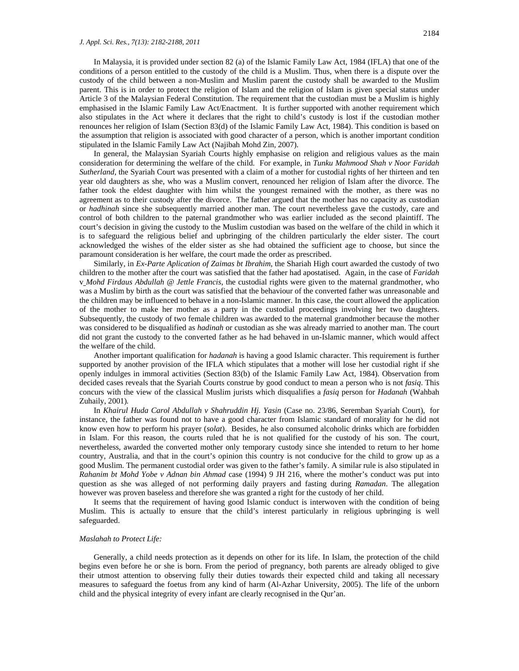In Malaysia, it is provided under section 82 (a) of the Islamic Family Law Act, 1984 (IFLA) that one of the conditions of a person entitled to the custody of the child is a Muslim. Thus, when there is a dispute over the custody of the child between a non-Muslim and Muslim parent the custody shall be awarded to the Muslim parent. This is in order to protect the religion of Islam and the religion of Islam is given special status under Article 3 of the Malaysian Federal Constitution. The requirement that the custodian must be a Muslim is highly emphasised in the Islamic Family Law Act/Enactment. It is further supported with another requirement which also stipulates in the Act where it declares that the right to child's custody is lost if the custodian mother renounces her religion of Islam (Section 83(d) of the Islamic Family Law Act, 1984). This condition is based on the assumption that religion is associated with good character of a person, which is another important condition stipulated in the Islamic Family Law Act (Najibah Mohd Zin, 2007).

In general, the Malaysian Syariah Courts highly emphasise on religion and religious values as the main consideration for determining the welfare of the child. For example, in *Tunku Mahmood Shah v Noor Faridah Sutherland*, the Syariah Court was presented with a claim of a mother for custodial rights of her thirteen and ten year old daughters as she, who was a Muslim convert, renounced her religion of Islam after the divorce. The father took the eldest daughter with him whilst the youngest remained with the mother, as there was no agreement as to their custody after the divorce. The father argued that the mother has no capacity as custodian or *hadhinah* since she subsequently married another man. The court nevertheless gave the custody, care and control of both children to the paternal grandmother who was earlier included as the second plaintiff. The court's decision in giving the custody to the Muslim custodian was based on the welfare of the child in which it is to safeguard the religious belief and upbringing of the children particularly the elder sister. The court acknowledged the wishes of the elder sister as she had obtained the sufficient age to choose, but since the paramount consideration is her welfare, the court made the order as prescribed.

Similarly, in *Ex-Parte Aplication of Zaimas bt Ibrahim*, the Shariah High court awarded the custody of two children to the mother after the court was satisfied that the father had apostatised. Again, in the case of *Faridah*  v *Mohd Firdaus Abdullah @ Jettle Francis*, the custodial rights were given to the maternal grandmother, who was a Muslim by birth as the court was satisfied that the behaviour of the converted father was unreasonable and the children may be influenced to behave in a non-Islamic manner. In this case, the court allowed the application of the mother to make her mother as a party in the custodial proceedings involving her two daughters. Subsequently, the custody of two female children was awarded to the maternal grandmother because the mother was considered to be disqualified as *hadinah* or custodian as she was already married to another man. The court did not grant the custody to the converted father as he had behaved in un-Islamic manner, which would affect the welfare of the child.

Another important qualification for *hadanah* is having a good Islamic character. This requirement is further supported by another provision of the IFLA which stipulates that a mother will lose her custodial right if she openly indulges in immoral activities (Section 83(b) of the Islamic Family Law Act, 1984). Observation from decided cases reveals that the Syariah Courts construe by good conduct to mean a person who is not *fasiq*. This concurs with the view of the classical Muslim jurists which disqualifies a *fasiq* person for *Hadanah* (Wahbah Zuhaily, 2001)*.*

In *Khairul Huda Carol Abdullah v Shahruddin Hj. Yasin* (Case no. 23/86, Seremban Syariah Court), for instance, the father was found not to have a good character from Islamic standard of morality for he did not know even how to perform his prayer (*solat*). Besides, he also consumed alcoholic drinks which are forbidden in Islam. For this reason, the courts ruled that he is not qualified for the custody of his son. The court, nevertheless, awarded the converted mother only temporary custody since she intended to return to her home country, Australia, and that in the court's opinion this country is not conducive for the child to grow up as a good Muslim. The permanent custodial order was given to the father's family. A similar rule is also stipulated in *Rahanim bt Mohd Yobe v Adnan bin Ahmad* case (1994) 9 JH 216, where the mother's conduct was put into question as she was alleged of not performing daily prayers and fasting during *Ramadan*. The allegation however was proven baseless and therefore she was granted a right for the custody of her child.

It seems that the requirement of having good Islamic conduct is interwoven with the condition of being Muslim. This is actually to ensure that the child's interest particularly in religious upbringing is well safeguarded.

#### *Maslahah to Protect Life:*

Generally, a child needs protection as it depends on other for its life. In Islam, the protection of the child begins even before he or she is born. From the period of pregnancy, both parents are already obliged to give their utmost attention to observing fully their duties towards their expected child and taking all necessary measures to safeguard the foetus from any kind of harm (Al-Azhar University, 2005). The life of the unborn child and the physical integrity of every infant are clearly recognised in the Qur'an.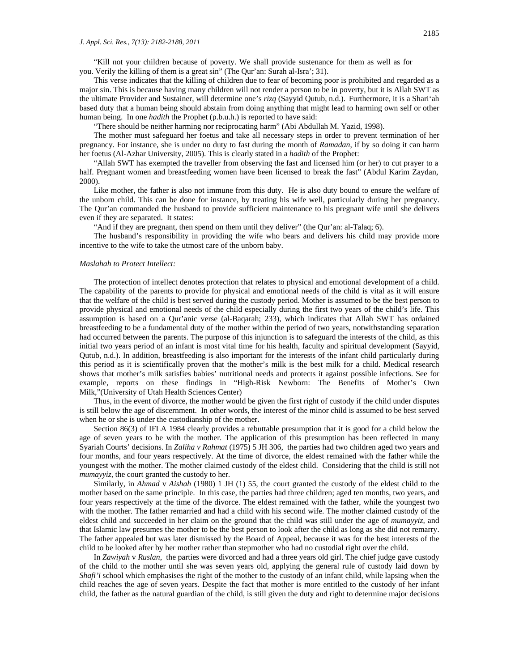"Kill not your children because of poverty. We shall provide sustenance for them as well as for you. Verily the killing of them is a great sin" (The Qur'an: Surah al-Isra'; 31).

This verse indicates that the killing of children due to fear of becoming poor is prohibited and regarded as a major sin. This is because having many children will not render a person to be in poverty, but it is Allah SWT as the ultimate Provider and Sustainer, will determine one's *rizq* (Sayyid Qutub, n.d.). Furthermore, it is a Shari'ah based duty that a human being should abstain from doing anything that might lead to harming own self or other human being. In one *hadith* the Prophet (p.b.u.h.) is reported to have said:

"There should be neither harming nor reciprocating harm" (Abi Abdullah M. Yazid, 1998).

The mother must safeguard her foetus and take all necessary steps in order to prevent termination of her pregnancy. For instance, she is under no duty to fast during the month of *Ramadan*, if by so doing it can harm her foetus (Al-Azhar University, 2005). This is clearly stated in a *hadith* of the Prophet:

"Allah SWT has exempted the traveller from observing the fast and licensed him (or her) to cut prayer to a half. Pregnant women and breastfeeding women have been licensed to break the fast" (Abdul Karim Zaydan, 2000).

Like mother, the father is also not immune from this duty. He is also duty bound to ensure the welfare of the unborn child. This can be done for instance, by treating his wife well, particularly during her pregnancy. The Qur'an commanded the husband to provide sufficient maintenance to his pregnant wife until she delivers even if they are separated. It states:

"And if they are pregnant, then spend on them until they deliver" (the Qur'an: al-Talaq; 6).

The husband's responsibility in providing the wife who bears and delivers his child may provide more incentive to the wife to take the utmost care of the unborn baby.

#### *Maslahah to Protect Intellect:*

The protection of intellect denotes protection that relates to physical and emotional development of a child. The capability of the parents to provide for physical and emotional needs of the child is vital as it will ensure that the welfare of the child is best served during the custody period. Mother is assumed to be the best person to provide physical and emotional needs of the child especially during the first two years of the child's life. This assumption is based on a Qur'anic verse (al-Baqarah; 233), which indicates that Allah SWT has ordained breastfeeding to be a fundamental duty of the mother within the period of two years, notwithstanding separation had occurred between the parents. The purpose of this injunction is to safeguard the interests of the child, as this initial two years period of an infant is most vital time for his health, faculty and spiritual development (Sayyid, Qutub, n.d.). In addition, breastfeeding is also important for the interests of the infant child particularly during this period as it is scientifically proven that the mother's milk is the best milk for a child. Medical research shows that mother's milk satisfies babies' nutritional needs and protects it against possible infections. See for example, reports on these findings in "High-Risk Newborn: The Benefits of Mother's Own Milk,"(University of Utah Health Sciences Center)

Thus, in the event of divorce, the mother would be given the first right of custody if the child under disputes is still below the age of discernment. In other words, the interest of the minor child is assumed to be best served when he or she is under the custodianship of the mother.

Section 86(3) of IFLA 1984 clearly provides a rebuttable presumption that it is good for a child below the age of seven years to be with the mother. The application of this presumption has been reflected in many Syariah Courts' decisions. In *Zaliha v Rahmat* (1975) 5 JH 306, the parties had two children aged two years and four months, and four years respectively. At the time of divorce, the eldest remained with the father while the youngest with the mother. The mother claimed custody of the eldest child. Considering that the child is still not *mumayyiz*, the court granted the custody to her.

Similarly, in *Ahmad* v *Aishah* (1980) 1 JH (1) 55, the court granted the custody of the eldest child to the mother based on the same principle. In this case, the parties had three children; aged ten months, two years, and four years respectively at the time of the divorce. The eldest remained with the father, while the youngest two with the mother. The father remarried and had a child with his second wife. The mother claimed custody of the eldest child and succeeded in her claim on the ground that the child was still under the age of *mumayyiz,* and that Islamic law presumes the mother to be the best person to look after the child as long as she did not remarry. The father appealed but was later dismissed by the Board of Appeal, because it was for the best interests of the child to be looked after by her mother rather than stepmother who had no custodial right over the child.

In *Zawiyah* v *Ruslan*, the parties were divorced and had a three years old girl. The chief judge gave custody of the child to the mother until she was seven years old, applying the general rule of custody laid down by *Shafi'i* school which emphasises the right of the mother to the custody of an infant child, while lapsing when the child reaches the age of seven years. Despite the fact that mother is more entitled to the custody of her infant child, the father as the natural guardian of the child, is still given the duty and right to determine major decisions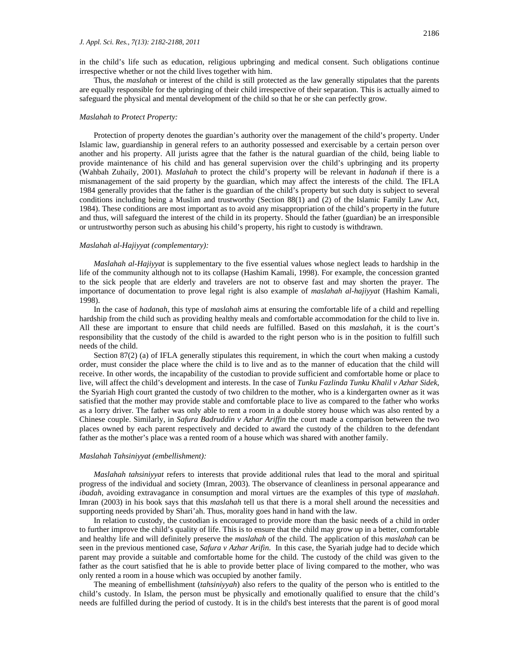in the child's life such as education, religious upbringing and medical consent. Such obligations continue irrespective whether or not the child lives together with him.

Thus, the *maslahah* or interest of the child is still protected as the law generally stipulates that the parents are equally responsible for the upbringing of their child irrespective of their separation. This is actually aimed to safeguard the physical and mental development of the child so that he or she can perfectly grow.

#### *Maslahah to Protect Property:*

Protection of property denotes the guardian's authority over the management of the child's property. Under Islamic law, guardianship in general refers to an authority possessed and exercisable by a certain person over another and his property. All jurists agree that the father is the natural guardian of the child, being liable to provide maintenance of his child and has general supervision over the child's upbringing and its property (Wahbah Zuhaily, 2001). *Maslahah* to protect the child's property will be relevant in *hadanah* if there is a mismanagement of the said property by the guardian, which may affect the interests of the child. The IFLA 1984 generally provides that the father is the guardian of the child's property but such duty is subject to several conditions including being a Muslim and trustworthy (Section 88(1) and (2) of the Islamic Family Law Act, 1984). These conditions are most important as to avoid any misappropriation of the child's property in the future and thus, will safeguard the interest of the child in its property. Should the father (guardian) be an irresponsible or untrustworthy person such as abusing his child's property, his right to custody is withdrawn.

#### *Maslahah al-Hajiyyat (complementary):*

*Maslahah al-Hajiyyat* is supplementary to the five essential values whose neglect leads to hardship in the life of the community although not to its collapse (Hashim Kamali, 1998). For example, the concession granted to the sick people that are elderly and travelers are not to observe fast and may shorten the prayer. The importance of documentation to prove legal right is also example of *maslahah al-hajiyyat* (Hashim Kamali, 1998).

In the case of *hadanah*, this type of *maslahah* aims at ensuring the comfortable life of a child and repelling hardship from the child such as providing healthy meals and comfortable accommodation for the child to live in. All these are important to ensure that child needs are fulfilled. Based on this *maslahah,* it is the court's responsibility that the custody of the child is awarded to the right person who is in the position to fulfill such needs of the child.

Section 87(2) (a) of IFLA generally stipulates this requirement, in which the court when making a custody order, must consider the place where the child is to live and as to the manner of education that the child will receive. In other words, the incapability of the custodian to provide sufficient and comfortable home or place to live, will affect the child's development and interests. In the case of *Tunku Fazlinda Tunku Khalil v Azhar Sidek,*  the Syariah High court granted the custody of two children to the mother, who is a kindergarten owner as it was satisfied that the mother may provide stable and comfortable place to live as compared to the father who works as a lorry driver. The father was only able to rent a room in a double storey house which was also rented by a Chinese couple. Similarly, in *Safura Badruddin v Azhar Ariffin* the court made a comparison between the two places owned by each parent respectively and decided to award the custody of the children to the defendant father as the mother's place was a rented room of a house which was shared with another family.

#### *Maslahah Tahsiniyyat (embellishment):*

*Maslahah tahsiniyyat* refers to interests that provide additional rules that lead to the moral and spiritual progress of the individual and society (Imran, 2003). The observance of cleanliness in personal appearance and *ibadah*, avoiding extravagance in consumption and moral virtues are the examples of this type of *maslahah*. Imran (2003) in his book says that this *maslahah* tell us that there is a moral shell around the necessities and supporting needs provided by Shari'ah. Thus, morality goes hand in hand with the law.

In relation to custody, the custodian is encouraged to provide more than the basic needs of a child in order to further improve the child's quality of life. This is to ensure that the child may grow up in a better, comfortable and healthy life and will definitely preserve the *maslahah* of the child. The application of this *maslahah* can be seen in the previous mentioned case, *Safura v Azhar Arifin*. In this case, the Syariah judge had to decide which parent may provide a suitable and comfortable home for the child. The custody of the child was given to the father as the court satisfied that he is able to provide better place of living compared to the mother, who was only rented a room in a house which was occupied by another family.

The meaning of embellishment (*tahsiniyyah*) also refers to the quality of the person who is entitled to the child's custody. In Islam, the person must be physically and emotionally qualified to ensure that the child's needs are fulfilled during the period of custody. It is in the child's best interests that the parent is of good moral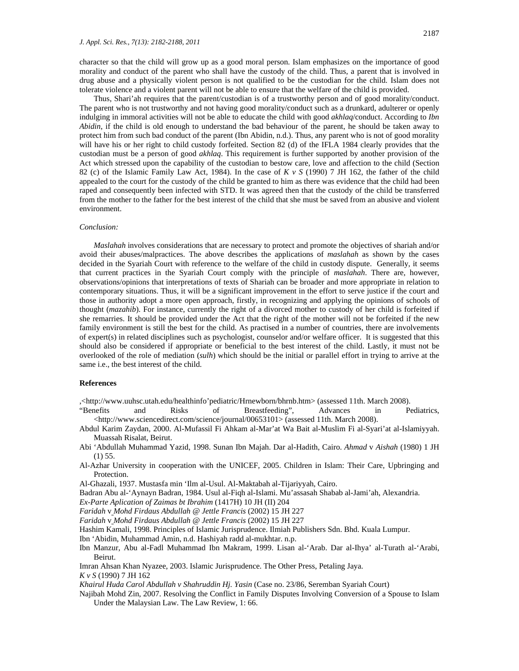character so that the child will grow up as a good moral person. Islam emphasizes on the importance of good morality and conduct of the parent who shall have the custody of the child. Thus, a parent that is involved in drug abuse and a physically violent person is not qualified to be the custodian for the child. Islam does not tolerate violence and a violent parent will not be able to ensure that the welfare of the child is provided.

Thus, Shari'ah requires that the parent/custodian is of a trustworthy person and of good morality/conduct. The parent who is not trustworthy and not having good morality/conduct such as a drunkard, adulterer or openly indulging in immoral activities will not be able to educate the child with good *akhlaq*/conduct. According to *Ibn Abidin*, if the child is old enough to understand the bad behaviour of the parent, he should be taken away to protect him from such bad conduct of the parent (Ibn Abidin, n.d.). Thus, any parent who is not of good morality will have his or her right to child custody forfeited. Section 82 (d) of the IFLA 1984 clearly provides that the custodian must be a person of good *akhlaq*. This requirement is further supported by another provision of the Act which stressed upon the capability of the custodian to bestow care, love and affection to the child (Section 82 (c) of the Islamic Family Law Act, 1984). In the case of *K v S* (1990) 7 JH 162, the father of the child appealed to the court for the custody of the child be granted to him as there was evidence that the child had been raped and consequently been infected with STD. It was agreed then that the custody of the child be transferred from the mother to the father for the best interest of the child that she must be saved from an abusive and violent environment.

#### *Conclusion:*

*Maslahah* involves considerations that are necessary to protect and promote the objectives of shariah and/or avoid their abuses/malpractices. The above describes the applications of *maslahah* as shown by the cases decided in the Syariah Court with reference to the welfare of the child in custody dispute. Generally, it seems that current practices in the Syariah Court comply with the principle of *maslahah*. There are, however, observations/opinions that interpretations of texts of Shariah can be broader and more appropriate in relation to contemporary situations. Thus, it will be a significant improvement in the effort to serve justice if the court and those in authority adopt a more open approach, firstly, in recognizing and applying the opinions of schools of thought (*mazahib*). For instance, currently the right of a divorced mother to custody of her child is forfeited if she remarries. It should be provided under the Act that the right of the mother will not be forfeited if the new family environment is still the best for the child. As practised in a number of countries, there are involvements of expert(s) in related disciplines such as psychologist, counselor and/or welfare officer. It is suggested that this should also be considered if appropriate or beneficial to the best interest of the child. Lastly, it must not be overlooked of the role of mediation (*sulh*) which should be the initial or parallel effort in trying to arrive at the same i.e., the best interest of the child.

#### **References**

,<http://www.uuhsc.utah.edu/healthinfo'pediatric/Hrnewborn/bhrnb.htm> (assessed 11th. March 2008).

"Benefits and Risks of Breastfeeding", Advances in Pediatrics, <http://www.sciencedirect.com/science/journal/00653101> (assessed 11th. March 2008).

Abdul Karim Zaydan, 2000. Al-Mufassil Fi Ahkam al-Mar'at Wa Bait al-Muslim Fi al-Syari'at al-Islamiyyah. Muassah Risalat, Beirut.

Abi 'Abdullah Muhammad Yazid, 1998. Sunan Ibn Majah. Dar al-Hadith, Cairo. *Ahmad* v *Aishah* (1980) 1 JH (1) 55.

Al-Azhar University in cooperation with the UNICEF, 2005. Children in Islam: Their Care, Upbringing and Protection.

Al-Ghazali, 1937. Mustasfa min 'Ilm al-Usul. Al-Maktabah al-Tijariyyah, Cairo.

Badran Abu al-'Aynayn Badran, 1984. Usul al-Fiqh al-Islami. Mu'assasah Shabab al-Jami'ah, Alexandria.

*Ex-Parte Aplication of Zaimas bt Ibrahim* (1417H) 10 JH (II) 204

*Faridah* v *Mohd Firdaus Abdullah @ Jettle Francis* (2002) 15 JH 227

*Faridah* v *Mohd Firdaus Abdullah @ Jettle Francis* (2002) 15 JH 227

Hashim Kamali, 1998. Principles of Islamic Jurisprudence. Ilmiah Publishers Sdn. Bhd. Kuala Lumpur.

Ibn 'Abidin, Muhammad Amin, n.d. Hashiyah radd al-mukhtar. n.p.

Ibn Manzur, Abu al-Fadl Muhammad Ibn Makram, 1999. Lisan al-'Arab. Dar al-Ihya' al-Turath al-'Arabi, Beirut.

Imran Ahsan Khan Nyazee, 2003. Islamic Jurisprudence. The Other Press, Petaling Jaya. *K v S* (1990) 7 JH 162

*Khairul Huda Carol Abdullah v Shahruddin Hj. Yasin* (Case no. 23/86, Seremban Syariah Court)

Najibah Mohd Zin, 2007. Resolving the Conflict in Family Disputes Involving Conversion of a Spouse to Islam Under the Malaysian Law. The Law Review, 1: 66.